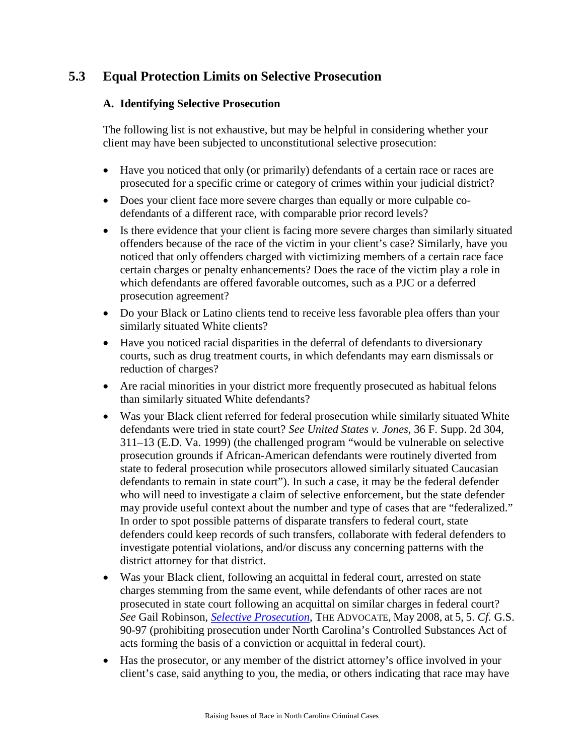# **5.3 Equal Protection Limits on Selective Prosecution**

# **A. Identifying Selective Prosecution**

The following list is not exhaustive, but may be helpful in considering whether your client may have been subjected to unconstitutional selective prosecution:

- Have you noticed that only (or primarily) defendants of a certain race or races are prosecuted for a specific crime or category of crimes within your judicial district?
- Does your client face more severe charges than equally or more culpable codefendants of a different race, with comparable prior record levels?
- Is there evidence that your client is facing more severe charges than similarly situated offenders because of the race of the victim in your client's case? Similarly, have you noticed that only offenders charged with victimizing members of a certain race face certain charges or penalty enhancements? Does the race of the victim play a role in which defendants are offered favorable outcomes, such as a PJC or a deferred prosecution agreement?
- Do your Black or Latino clients tend to receive less favorable plea offers than your similarly situated White clients?
- Have you noticed racial disparities in the deferral of defendants to diversionary courts, such as drug treatment courts, in which defendants may earn dismissals or reduction of charges?
- Are racial minorities in your district more frequently prosecuted as habitual felons than similarly situated White defendants?
- Was your Black client referred for federal prosecution while similarly situated White defendants were tried in state court? *See United States v. Jones*, 36 F. Supp. 2d 304, 311–13 (E.D. Va. 1999) (the challenged program "would be vulnerable on selective prosecution grounds if African-American defendants were routinely diverted from state to federal prosecution while prosecutors allowed similarly situated Caucasian defendants to remain in state court"). In such a case, it may be the federal defender who will need to investigate a claim of selective enforcement, but the state defender may provide useful context about the number and type of cases that are "federalized." In order to spot possible patterns of disparate transfers to federal court, state defenders could keep records of such transfers, collaborate with federal defenders to investigate potential violations, and/or discuss any concerning patterns with the district attorney for that district.
- Was your Black client, following an acquittal in federal court, arrested on state charges stemming from the same event, while defendants of other races are not prosecuted in state court following an acquittal on similar charges in federal court? *See* Gail Robinson, *[Selective Prosecution](http://apps.dpa.ky.gov/library/advocate/pdf/2008/adv050108.pdf)*, THE ADVOCATE, May 2008, at 5, 5. *Cf.* G.S. 90-97 (prohibiting prosecution under North Carolina's Controlled Substances Act of acts forming the basis of a conviction or acquittal in federal court).
- Has the prosecutor, or any member of the district attorney's office involved in your client's case, said anything to you, the media, or others indicating that race may have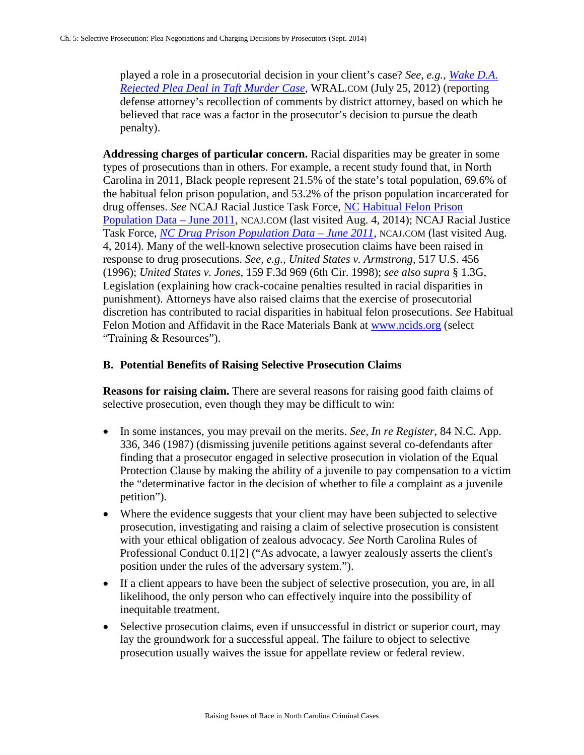played a role in a prosecutorial decision in your client's case? *See, e.g.*, *[Wake D.A.](http://www.wral.com/specialreports/kathy_taft/story/11351464/)  [Rejected Plea Deal in Taft Murder Case](http://www.wral.com/specialreports/kathy_taft/story/11351464/)*, WRAL.COM (July 25, 2012) (reporting defense attorney's recollection of comments by district attorney, based on which he believed that race was a factor in the prosecutor's decision to pursue the death penalty).

**Addressing charges of particular concern.** Racial disparities may be greater in some types of prosecutions than in others. For example, a recent study found that, in North Carolina in 2011, Black people represent 21.5% of the state's total population, 69.6% of the habitual felon prison population, and 53.2% of the prison population incarcerated for drug offenses. *See* NCAJ Racial Justice Task Force, NC [Habitual Felon Prison](https://www.ncaj.com/index.cfm?pg=NCCREDPublications)  [Population](https://www.ncaj.com/index.cfm?pg=NCCREDPublications) Data – June 2011, NCAJ.COM (last visited Aug. 4, 2014); NCAJ Racial Justice Task Force, *[NC Drug Prison Population Data –](https://www.ncaj.com/index.cfm?pg=NCCREDPublications) June 2011*, NCAJ.COM (last visited Aug. 4, 2014). Many of the well-known selective prosecution claims have been raised in response to drug prosecutions. *See, e.g.*, *United States v. Armstrong*, 517 U.S. 456 (1996); *United States v. Jones*, 159 F.3d 969 (6th Cir. 1998); *see also supra* § 1.3G, Legislation (explaining how crack-cocaine penalties resulted in racial disparities in punishment). Attorneys have also raised claims that the exercise of prosecutorial discretion has contributed to racial disparities in habitual felon prosecutions. *See* Habitual Felon Motion and Affidavit in the Race Materials Bank at [www.ncids.org](http://www.ncids.org/) (select "Training & Resources").

## **B. Potential Benefits of Raising Selective Prosecution Claims**

**Reasons for raising claim.** There are several reasons for raising good faith claims of selective prosecution, even though they may be difficult to win:

- In some instances, you may prevail on the merits. *See, In re Register*, 84 N.C. App. 336, 346 (1987) (dismissing juvenile petitions against several co-defendants after finding that a prosecutor engaged in selective prosecution in violation of the Equal Protection Clause by making the ability of a juvenile to pay compensation to a victim the "determinative factor in the decision of whether to file a complaint as a juvenile petition").
- Where the evidence suggests that your client may have been subjected to selective prosecution, investigating and raising a claim of selective prosecution is consistent with your ethical obligation of zealous advocacy. *See* North Carolina Rules of Professional Conduct 0.1[2] ("As advocate, a lawyer zealously asserts the client's position under the rules of the adversary system.").
- If a client appears to have been the subject of selective prosecution, you are, in all likelihood, the only person who can effectively inquire into the possibility of inequitable treatment.
- Selective prosecution claims, even if unsuccessful in district or superior court, may lay the groundwork for a successful appeal. The failure to object to selective prosecution usually waives the issue for appellate review or federal review.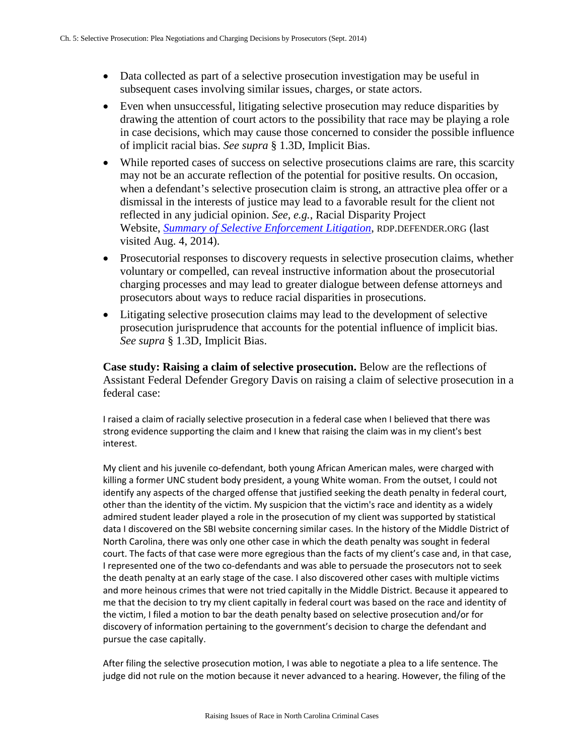- Data collected as part of a selective prosecution investigation may be useful in subsequent cases involving similar issues, charges, or state actors.
- Even when unsuccessful, litigating selective prosecution may reduce disparities by drawing the attention of court actors to the possibility that race may be playing a role in case decisions, which may cause those concerned to consider the possible influence of implicit racial bias. *See supra* § 1.3D, Implicit Bias.
- While reported cases of success on selective prosecutions claims are rare, this scarcity may not be an accurate reflection of the potential for positive results. On occasion, when a defendant's selective prosecution claim is strong, an attractive plea offer or a dismissal in the interests of justice may lead to a favorable result for the client not reflected in any judicial opinion. *See, e.g.*, Racial Disparity Project Website, *[Summary of Selective Enforcement Litigation](http://rdp.defender.org/projects)*, RDP.DEFENDER.ORG (last visited Aug. 4, 2014).
- Prosecutorial responses to discovery requests in selective prosecution claims, whether voluntary or compelled, can reveal instructive information about the prosecutorial charging processes and may lead to greater dialogue between defense attorneys and prosecutors about ways to reduce racial disparities in prosecutions.
- Litigating selective prosecution claims may lead to the development of selective prosecution jurisprudence that accounts for the potential influence of implicit bias. *See supra* § 1.3D, Implicit Bias.

**Case study: Raising a claim of selective prosecution.** Below are the reflections of Assistant Federal Defender Gregory Davis on raising a claim of selective prosecution in a federal case:

I raised a claim of racially selective prosecution in a federal case when I believed that there was strong evidence supporting the claim and I knew that raising the claim was in my client's best interest.

My client and his juvenile co-defendant, both young African American males, were charged with killing a former UNC student body president, a young White woman. From the outset, I could not identify any aspects of the charged offense that justified seeking the death penalty in federal court, other than the identity of the victim. My suspicion that the victim's race and identity as a widely admired student leader played a role in the prosecution of my client was supported by statistical data I discovered on the SBI website concerning similar cases. In the history of the Middle District of North Carolina, there was only one other case in which the death penalty was sought in federal court. The facts of that case were more egregious than the facts of my client's case and, in that case, I represented one of the two co-defendants and was able to persuade the prosecutors not to seek the death penalty at an early stage of the case. I also discovered other cases with multiple victims and more heinous crimes that were not tried capitally in the Middle District. Because it appeared to me that the decision to try my client capitally in federal court was based on the race and identity of the victim, I filed a motion to bar the death penalty based on selective prosecution and/or for discovery of information pertaining to the government's decision to charge the defendant and pursue the case capitally.

After filing the selective prosecution motion, I was able to negotiate a plea to a life sentence. The judge did not rule on the motion because it never advanced to a hearing. However, the filing of the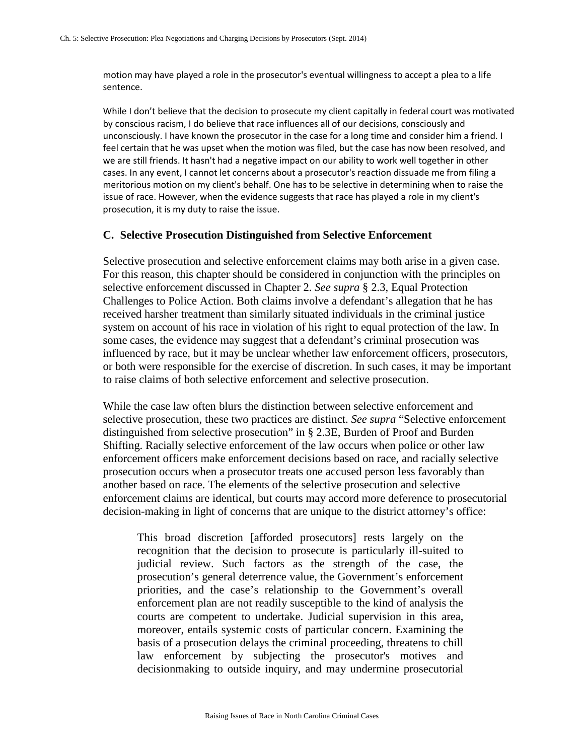motion may have played a role in the prosecutor's eventual willingness to accept a plea to a life sentence.

While I don't believe that the decision to prosecute my client capitally in federal court was motivated by conscious racism, I do believe that race influences all of our decisions, consciously and unconsciously. I have known the prosecutor in the case for a long time and consider him a friend. I feel certain that he was upset when the motion was filed, but the case has now been resolved, and we are still friends. It hasn't had a negative impact on our ability to work well together in other cases. In any event, I cannot let concerns about a prosecutor's reaction dissuade me from filing a meritorious motion on my client's behalf. One has to be selective in determining when to raise the issue of race. However, when the evidence suggests that race has played a role in my client's prosecution, it is my duty to raise the issue.

#### **C. Selective Prosecution Distinguished from Selective Enforcement**

Selective prosecution and selective enforcement claims may both arise in a given case. For this reason, this chapter should be considered in conjunction with the principles on selective enforcement discussed in Chapter 2. *See supra* § 2.3, Equal Protection Challenges to Police Action. Both claims involve a defendant's allegation that he has received harsher treatment than similarly situated individuals in the criminal justice system on account of his race in violation of his right to equal protection of the law. In some cases, the evidence may suggest that a defendant's criminal prosecution was influenced by race, but it may be unclear whether law enforcement officers, prosecutors, or both were responsible for the exercise of discretion. In such cases, it may be important to raise claims of both selective enforcement and selective prosecution.

While the case law often blurs the distinction between selective enforcement and selective prosecution, these two practices are distinct. *See supra* "Selective enforcement distinguished from selective prosecution" in § 2.3E, Burden of Proof and Burden Shifting. Racially selective enforcement of the law occurs when police or other law enforcement officers make enforcement decisions based on race, and racially selective prosecution occurs when a prosecutor treats one accused person less favorably than another based on race. The elements of the selective prosecution and selective enforcement claims are identical, but courts may accord more deference to prosecutorial decision-making in light of concerns that are unique to the district attorney's office:

This broad discretion [afforded prosecutors] rests largely on the recognition that the decision to prosecute is particularly ill-suited to judicial review. Such factors as the strength of the case, the prosecution's general deterrence value, the Government's enforcement priorities, and the case's relationship to the Government's overall enforcement plan are not readily susceptible to the kind of analysis the courts are competent to undertake. Judicial supervision in this area, moreover, entails systemic costs of particular concern. Examining the basis of a prosecution delays the criminal proceeding, threatens to chill law enforcement by subjecting the prosecutor's motives and decisionmaking to outside inquiry, and may undermine prosecutorial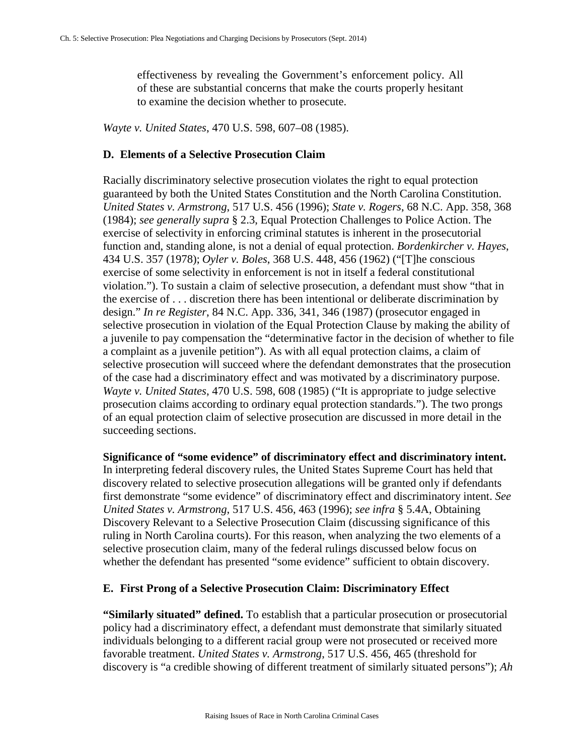effectiveness by revealing the Government's enforcement policy. All of these are substantial concerns that make the courts properly hesitant to examine the decision whether to prosecute.

*Wayte v. United States*, 470 U.S. 598, 607–08 (1985).

#### **D. Elements of a Selective Prosecution Claim**

Racially discriminatory selective prosecution violates the right to equal protection guaranteed by both the United States Constitution and the North Carolina Constitution. *United States v. Armstrong*, 517 U.S. 456 (1996); *State v. Rogers*, 68 N.C. App. 358, 368 (1984); *see generally supra* § 2.3, Equal Protection Challenges to Police Action. The exercise of selectivity in enforcing criminal statutes is inherent in the prosecutorial function and, standing alone, is not a denial of equal protection. *Bordenkircher v. Hayes*, 434 U.S. 357 (1978); *Oyler v. Boles*, 368 U.S. 448, 456 (1962) ("[T]he conscious exercise of some selectivity in enforcement is not in itself a federal constitutional violation."). To sustain a claim of selective prosecution, a defendant must show "that in the exercise of . . . discretion there has been intentional or deliberate discrimination by design." *In re Register*, 84 N.C. App. 336, 341, 346 (1987) (prosecutor engaged in selective prosecution in violation of the Equal Protection Clause by making the ability of a juvenile to pay compensation the "determinative factor in the decision of whether to file a complaint as a juvenile petition"). As with all equal protection claims, a claim of selective prosecution will succeed where the defendant demonstrates that the prosecution of the case had a discriminatory effect and was motivated by a discriminatory purpose. *Wayte v. United States*, 470 U.S. 598, 608 (1985) ("It is appropriate to judge selective prosecution claims according to ordinary equal protection standards."). The two prongs of an equal protection claim of selective prosecution are discussed in more detail in the succeeding sections.

**Significance of "some evidence" of discriminatory effect and discriminatory intent.**  In interpreting federal discovery rules, the United States Supreme Court has held that discovery related to selective prosecution allegations will be granted only if defendants first demonstrate "some evidence" of discriminatory effect and discriminatory intent. *See United States v. Armstrong*, 517 U.S. 456, 463 (1996); *see infra* § 5.4A, Obtaining Discovery Relevant to a Selective Prosecution Claim (discussing significance of this ruling in North Carolina courts). For this reason, when analyzing the two elements of a selective prosecution claim, many of the federal rulings discussed below focus on whether the defendant has presented "some evidence" sufficient to obtain discovery.

#### **E. First Prong of a Selective Prosecution Claim: Discriminatory Effect**

**"Similarly situated" defined.** To establish that a particular prosecution or prosecutorial policy had a discriminatory effect, a defendant must demonstrate that similarly situated individuals belonging to a different racial group were not prosecuted or received more favorable treatment. *United States v. Armstrong*, 517 U.S. 456, 465 (threshold for discovery is "a credible showing of different treatment of similarly situated persons"); *Ah*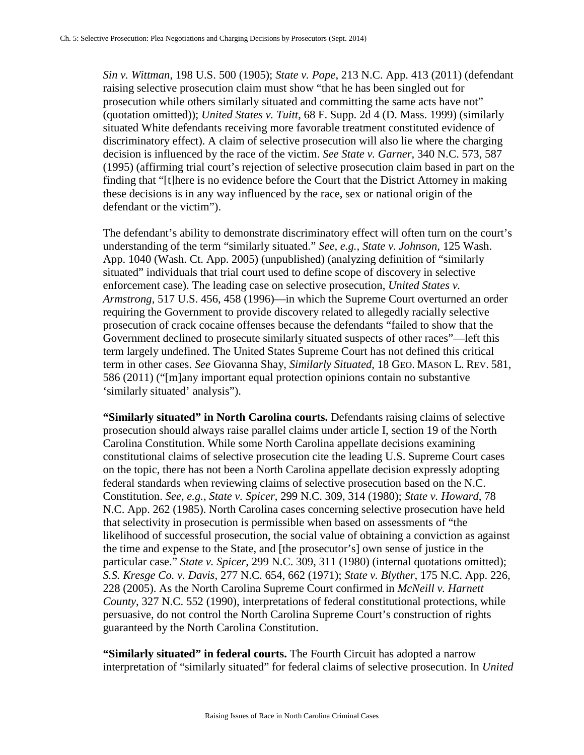*Sin v. Wittman*, 198 U.S. 500 (1905); *State v. Pope*, 213 N.C. App. 413 (2011) (defendant raising selective prosecution claim must show "that he has been singled out for prosecution while others similarly situated and committing the same acts have not" (quotation omitted)); *United States v. Tuitt*, 68 F. Supp. 2d 4 (D. Mass. 1999) (similarly situated White defendants receiving more favorable treatment constituted evidence of discriminatory effect). A claim of selective prosecution will also lie where the charging decision is influenced by the race of the victim. *See State v. Garner*, 340 N.C. 573, 587 (1995) (affirming trial court's rejection of selective prosecution claim based in part on the finding that "[t]here is no evidence before the Court that the District Attorney in making these decisions is in any way influenced by the race, sex or national origin of the defendant or the victim").

The defendant's ability to demonstrate discriminatory effect will often turn on the court's understanding of the term "similarly situated." *See, e.g.*, *State v. Johnson,* 125 Wash. App. 1040 (Wash. Ct. App. 2005) (unpublished) (analyzing definition of "similarly situated" individuals that trial court used to define scope of discovery in selective enforcement case). The leading case on selective prosecution, *United States v. Armstrong*, 517 U.S. 456, 458 (1996)—in which the Supreme Court overturned an order requiring the Government to provide discovery related to allegedly racially selective prosecution of crack cocaine offenses because the defendants "failed to show that the Government declined to prosecute similarly situated suspects of other races"—left this term largely undefined. The United States Supreme Court has not defined this critical term in other cases. *See* Giovanna Shay, *Similarly Situated*, 18 GEO. MASON L. REV. 581, 586 (2011) ("[m]any important equal protection opinions contain no substantive 'similarly situated' analysis").

**"Similarly situated" in North Carolina courts.** Defendants raising claims of selective prosecution should always raise parallel claims under article I, section 19 of the North Carolina Constitution. While some North Carolina appellate decisions examining constitutional claims of selective prosecution cite the leading U.S. Supreme Court cases on the topic, there has not been a North Carolina appellate decision expressly adopting federal standards when reviewing claims of selective prosecution based on the N.C. Constitution. *See, e.g.*, *State v. Spicer*, 299 N.C. 309, 314 (1980); *State v. Howard*, 78 N.C. App. 262 (1985). North Carolina cases concerning selective prosecution have held that selectivity in prosecution is permissible when based on assessments of "the likelihood of successful prosecution, the social value of obtaining a conviction as against the time and expense to the State, and [the prosecutor's] own sense of justice in the particular case." *State v. Spicer*, 299 N.C. 309, 311 (1980) (internal quotations omitted); *S.S. Kresge Co. v. Davis*, 277 N.C. 654, 662 (1971); *State v. Blyther*, 175 N.C. App. 226, 228 (2005). As the North Carolina Supreme Court confirmed in *McNeill v. Harnett County*, 327 N.C. 552 (1990), interpretations of federal constitutional protections, while persuasive, do not control the North Carolina Supreme Court's construction of rights guaranteed by the North Carolina Constitution.

**"Similarly situated" in federal courts.** The Fourth Circuit has adopted a narrow interpretation of "similarly situated" for federal claims of selective prosecution. In *United*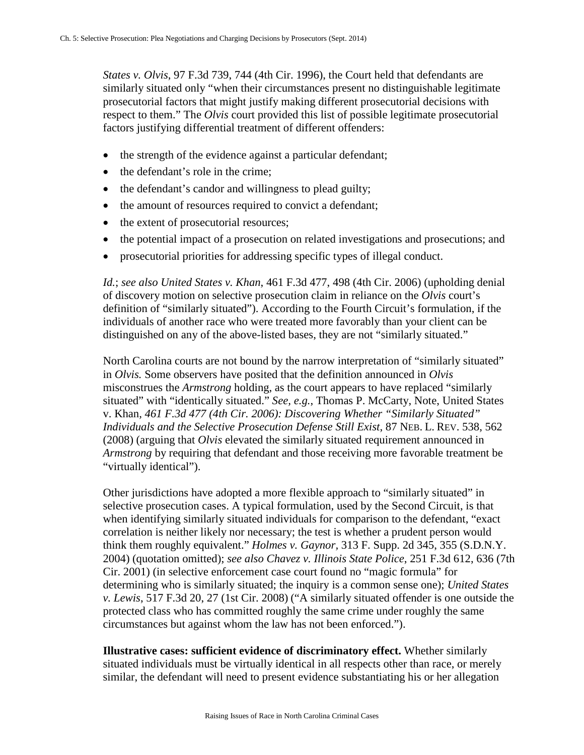*States v. Olvis*, 97 F.3d 739, 744 (4th Cir. 1996), the Court held that defendants are similarly situated only "when their circumstances present no distinguishable legitimate prosecutorial factors that might justify making different prosecutorial decisions with respect to them." The *Olvis* court provided this list of possible legitimate prosecutorial factors justifying differential treatment of different offenders:

- the strength of the evidence against a particular defendant;
- the defendant's role in the crime;
- the defendant's candor and willingness to plead guilty;
- the amount of resources required to convict a defendant;
- the extent of prosecutorial resources;
- the potential impact of a prosecution on related investigations and prosecutions; and
- prosecutorial priorities for addressing specific types of illegal conduct.

*Id.*; *see also United States v. Khan*, 461 F.3d 477, 498 (4th Cir. 2006) (upholding denial of discovery motion on selective prosecution claim in reliance on the *Olvis* court's definition of "similarly situated"). According to the Fourth Circuit's formulation, if the individuals of another race who were treated more favorably than your client can be distinguished on any of the above-listed bases, they are not "similarly situated."

North Carolina courts are not bound by the narrow interpretation of "similarly situated" in *Olvis.* Some observers have posited that the definition announced in *Olvis*  misconstrues the *Armstrong* holding, as the court appears to have replaced "similarly situated" with "identically situated." *See, e.g.*, Thomas P. McCarty, Note, United States v. Khan*, 461 F.3d 477 (4th Cir. 2006): Discovering Whether "Similarly Situated" Individuals and the Selective Prosecution Defense Still Exist*, 87 NEB. L. REV. 538, 562 (2008) (arguing that *Olvis* elevated the similarly situated requirement announced in *Armstrong* by requiring that defendant and those receiving more favorable treatment be "virtually identical").

Other jurisdictions have adopted a more flexible approach to "similarly situated" in selective prosecution cases. A typical formulation, used by the Second Circuit, is that when identifying similarly situated individuals for comparison to the defendant, "exact correlation is neither likely nor necessary; the test is whether a prudent person would think them roughly equivalent." *Holmes v. Gaynor,* 313 F. Supp. 2d 345, 355 (S.D.N.Y. 2004) (quotation omitted); *see also Chavez v. Illinois State Police*, 251 F.3d 612, 636 (7th Cir. 2001) (in selective enforcement case court found no "magic formula" for determining who is similarly situated; the inquiry is a common sense one); *United States v. Lewis*, 517 F.3d 20, 27 (1st Cir. 2008) ("A similarly situated offender is one outside the protected class who has committed roughly the same crime under roughly the same circumstances but against whom the law has not been enforced.").

**Illustrative cases: sufficient evidence of discriminatory effect.** Whether similarly situated individuals must be virtually identical in all respects other than race, or merely similar, the defendant will need to present evidence substantiating his or her allegation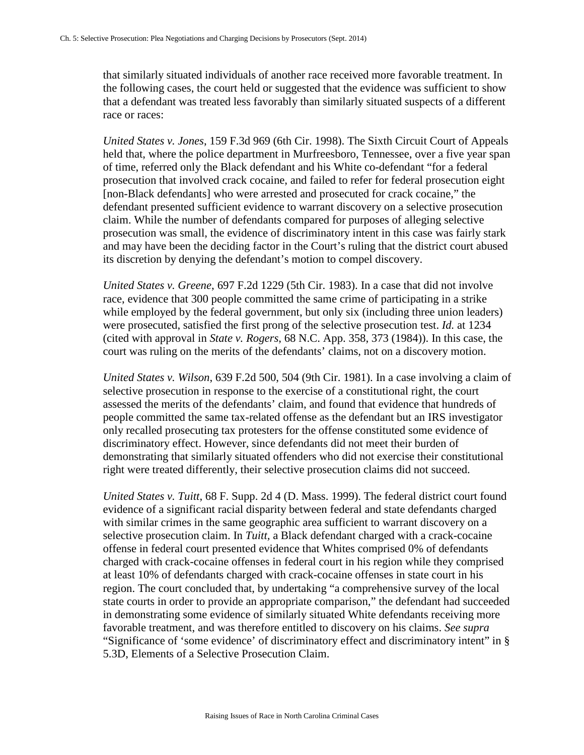that similarly situated individuals of another race received more favorable treatment. In the following cases, the court held or suggested that the evidence was sufficient to show that a defendant was treated less favorably than similarly situated suspects of a different race or races:

*United States v. Jones*, 159 F.3d 969 (6th Cir. 1998). The Sixth Circuit Court of Appeals held that, where the police department in Murfreesboro, Tennessee, over a five year span of time, referred only the Black defendant and his White co-defendant "for a federal prosecution that involved crack cocaine, and failed to refer for federal prosecution eight [non-Black defendants] who were arrested and prosecuted for crack cocaine," the defendant presented sufficient evidence to warrant discovery on a selective prosecution claim. While the number of defendants compared for purposes of alleging selective prosecution was small, the evidence of discriminatory intent in this case was fairly stark and may have been the deciding factor in the Court's ruling that the district court abused its discretion by denying the defendant's motion to compel discovery.

*United States v. Greene*, 697 F.2d 1229 (5th Cir. 1983). In a case that did not involve race, evidence that 300 people committed the same crime of participating in a strike while employed by the federal government, but only six (including three union leaders) were prosecuted, satisfied the first prong of the selective prosecution test. *Id.* at 1234 (cited with approval in *State v. Rogers*, 68 N.C. App. 358, 373 (1984)). In this case, the court was ruling on the merits of the defendants' claims, not on a discovery motion.

*United States v. Wilson*, 639 F.2d 500, 504 (9th Cir. 1981). In a case involving a claim of selective prosecution in response to the exercise of a constitutional right, the court assessed the merits of the defendants' claim, and found that evidence that hundreds of people committed the same tax-related offense as the defendant but an IRS investigator only recalled prosecuting tax protesters for the offense constituted some evidence of discriminatory effect. However, since defendants did not meet their burden of demonstrating that similarly situated offenders who did not exercise their constitutional right were treated differently, their selective prosecution claims did not succeed.

*United States v. Tuitt*, 68 F. Supp. 2d 4 (D. Mass. 1999). The federal district court found evidence of a significant racial disparity between federal and state defendants charged with similar crimes in the same geographic area sufficient to warrant discovery on a selective prosecution claim. In *Tuitt,* a Black defendant charged with a crack-cocaine offense in federal court presented evidence that Whites comprised 0% of defendants charged with crack-cocaine offenses in federal court in his region while they comprised at least 10% of defendants charged with crack-cocaine offenses in state court in his region. The court concluded that, by undertaking "a comprehensive survey of the local state courts in order to provide an appropriate comparison," the defendant had succeeded in demonstrating some evidence of similarly situated White defendants receiving more favorable treatment, and was therefore entitled to discovery on his claims. *See supra*  "Significance of 'some evidence' of discriminatory effect and discriminatory intent" in § 5.3D, Elements of a Selective Prosecution Claim.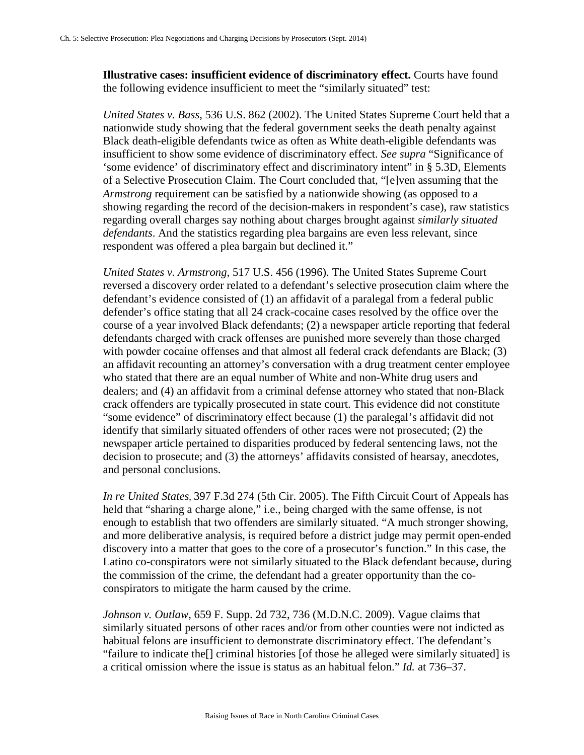**Illustrative cases: insufficient evidence of discriminatory effect.** Courts have found the following evidence insufficient to meet the "similarly situated" test:

*United States v. Bass*, 536 U.S. 862 (2002). The United States Supreme Court held that a nationwide study showing that the federal government seeks the death penalty against Black death-eligible defendants twice as often as White death-eligible defendants was insufficient to show some evidence of discriminatory effect. *See supra* "Significance of 'some evidence' of discriminatory effect and discriminatory intent" in § 5.3D, Elements of a Selective Prosecution Claim. The Court concluded that, "[e]ven assuming that the *Armstrong* requirement can be satisfied by a nationwide showing (as opposed to a showing regarding the record of the decision-makers in respondent's case), raw statistics regarding overall charges say nothing about charges brought against *similarly situated defendants*. And the statistics regarding plea bargains are even less relevant, since respondent was offered a plea bargain but declined it."

*United States v. Armstrong*, 517 U.S. 456 (1996). The United States Supreme Court reversed a discovery order related to a defendant's selective prosecution claim where the defendant's evidence consisted of (1) an affidavit of a paralegal from a federal public defender's office stating that all 24 crack-cocaine cases resolved by the office over the course of a year involved Black defendants; (2) a newspaper article reporting that federal defendants charged with crack offenses are punished more severely than those charged with powder cocaine offenses and that almost all federal crack defendants are Black; (3) an affidavit recounting an attorney's conversation with a drug treatment center employee who stated that there are an equal number of White and non-White drug users and dealers; and (4) an affidavit from a criminal defense attorney who stated that non-Black crack offenders are typically prosecuted in state court. This evidence did not constitute "some evidence" of discriminatory effect because (1) the paralegal's affidavit did not identify that similarly situated offenders of other races were not prosecuted; (2) the newspaper article pertained to disparities produced by federal sentencing laws, not the decision to prosecute; and (3) the attorneys' affidavits consisted of hearsay, anecdotes, and personal conclusions.

*In re United States*, 397 F.3d 274 (5th Cir. 2005). The Fifth Circuit Court of Appeals has held that "sharing a charge alone," i.e., being charged with the same offense, is not enough to establish that two offenders are similarly situated. "A much stronger showing, and more deliberative analysis, is required before a district judge may permit open-ended discovery into a matter that goes to the core of a prosecutor's function." In this case, the Latino co-conspirators were not similarly situated to the Black defendant because, during the commission of the crime, the defendant had a greater opportunity than the coconspirators to mitigate the harm caused by the crime.

*Johnson v. Outlaw*, 659 F. Supp. 2d 732, 736 (M.D.N.C. 2009). Vague claims that similarly situated persons of other races and/or from other counties were not indicted as habitual felons are insufficient to demonstrate discriminatory effect. The defendant's "failure to indicate the[] criminal histories [of those he alleged were similarly situated] is a critical omission where the issue is status as an habitual felon." *Id.* at 736–37.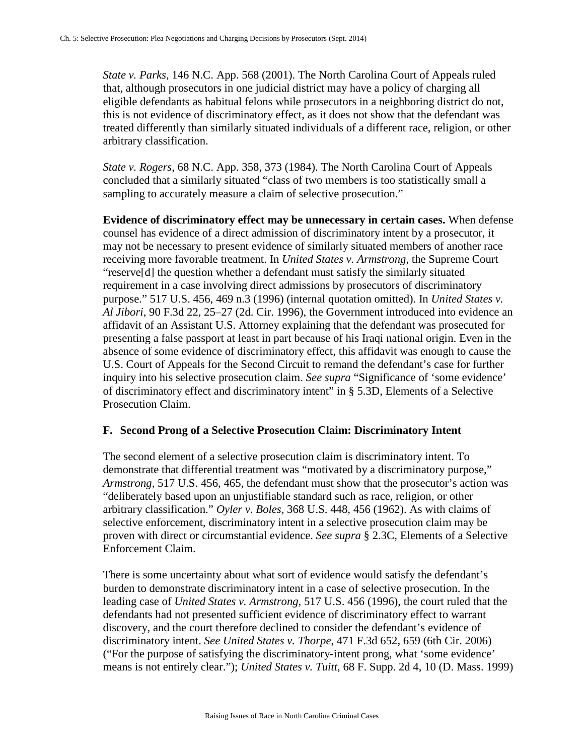*State v. Parks*, 146 N.C. App. 568 (2001). The North Carolina Court of Appeals ruled that, although prosecutors in one judicial district may have a policy of charging all eligible defendants as habitual felons while prosecutors in a neighboring district do not, this is not evidence of discriminatory effect, as it does not show that the defendant was treated differently than similarly situated individuals of a different race, religion, or other arbitrary classification.

*State v. Rogers*, 68 N.C. App. 358, 373 (1984). The North Carolina Court of Appeals concluded that a similarly situated "class of two members is too statistically small a sampling to accurately measure a claim of selective prosecution."

**Evidence of discriminatory effect may be unnecessary in certain cases.** When defense counsel has evidence of a direct admission of discriminatory intent by a prosecutor, it may not be necessary to present evidence of similarly situated members of another race receiving more favorable treatment. In *United States v. Armstrong*, the Supreme Court "reserve[d] the question whether a defendant must satisfy the similarly situated requirement in a case involving direct admissions by prosecutors of discriminatory purpose." 517 U.S. 456, 469 n.3 (1996) (internal quotation omitted). In *United States v. Al Jibori*, 90 F.3d 22, 25–27 (2d. Cir. 1996), the Government introduced into evidence an affidavit of an Assistant U.S. Attorney explaining that the defendant was prosecuted for presenting a false passport at least in part because of his Iraqi national origin. Even in the absence of some evidence of discriminatory effect, this affidavit was enough to cause the U.S. Court of Appeals for the Second Circuit to remand the defendant's case for further inquiry into his selective prosecution claim. *See supra* "Significance of 'some evidence' of discriminatory effect and discriminatory intent" in § 5.3D, Elements of a Selective Prosecution Claim.

## **F. Second Prong of a Selective Prosecution Claim: Discriminatory Intent**

The second element of a selective prosecution claim is discriminatory intent. To demonstrate that differential treatment was "motivated by a discriminatory purpose," *Armstrong*, 517 U.S. 456, 465, the defendant must show that the prosecutor's action was "deliberately based upon an unjustifiable standard such as race, religion, or other arbitrary classification." *Oyler v. Boles*, 368 U.S. 448, 456 (1962). As with claims of selective enforcement, discriminatory intent in a selective prosecution claim may be proven with direct or circumstantial evidence. *See supra* § 2.3C, Elements of a Selective Enforcement Claim.

There is some uncertainty about what sort of evidence would satisfy the defendant's burden to demonstrate discriminatory intent in a case of selective prosecution. In the leading case of *United States v. Armstrong*, 517 U.S. 456 (1996), the court ruled that the defendants had not presented sufficient evidence of discriminatory effect to warrant discovery, and the court therefore declined to consider the defendant's evidence of discriminatory intent. *See United States v. Thorpe*, 471 F.3d 652, 659 (6th Cir. 2006) ("For the purpose of satisfying the discriminatory-intent prong, what 'some evidence' means is not entirely clear."); *United States v. Tuitt*, 68 F. Supp. 2d 4, 10 (D. Mass. 1999)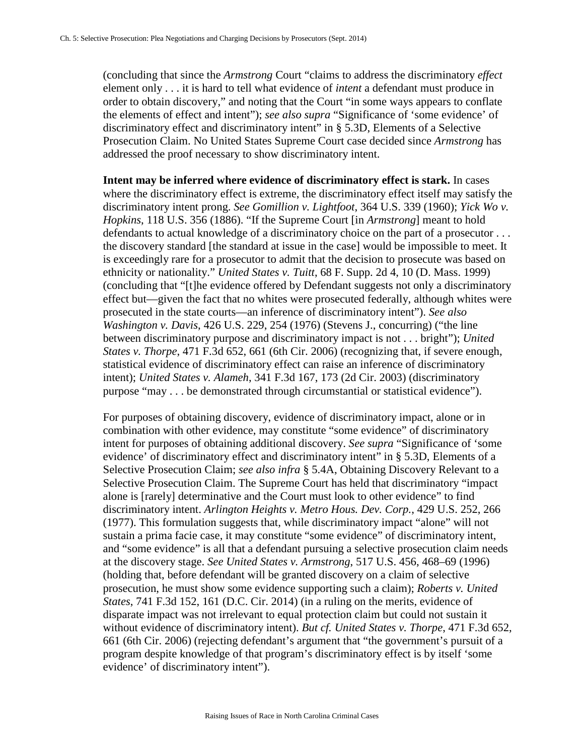(concluding that since the *Armstrong* Court "claims to address the discriminatory *effect* element only . . . it is hard to tell what evidence of *intent* a defendant must produce in order to obtain discovery," and noting that the Court "in some ways appears to conflate the elements of effect and intent"); *see also supra* "Significance of 'some evidence' of discriminatory effect and discriminatory intent" in § 5.3D, Elements of a Selective Prosecution Claim. No United States Supreme Court case decided since *Armstrong* has addressed the proof necessary to show discriminatory intent.

**Intent may be inferred where evidence of discriminatory effect is stark.** In cases where the discriminatory effect is extreme, the discriminatory effect itself may satisfy the discriminatory intent prong. *See Gomillion v. Lightfoot*, 364 U.S. 339 (1960); *Yick Wo v. Hopkins*, 118 U.S. 356 (1886). "If the Supreme Court [in *Armstrong*] meant to hold defendants to actual knowledge of a discriminatory choice on the part of a prosecutor . . . the discovery standard [the standard at issue in the case] would be impossible to meet. It is exceedingly rare for a prosecutor to admit that the decision to prosecute was based on ethnicity or nationality." *United States v. Tuitt*, 68 F. Supp. 2d 4, 10 (D. Mass. 1999) (concluding that "[t]he evidence offered by Defendant suggests not only a discriminatory effect but—given the fact that no whites were prosecuted federally, although whites were prosecuted in the state courts—an inference of discriminatory intent"). *See also Washington v. Davis*, 426 U.S. 229, 254 (1976) (Stevens J., concurring) ("the line between discriminatory purpose and discriminatory impact is not . . . bright"); *United States v. Thorpe*, 471 F.3d 652, 661 (6th Cir. 2006) (recognizing that, if severe enough, statistical evidence of discriminatory effect can raise an inference of discriminatory intent); *United States v. Alameh*, 341 F.3d 167, 173 (2d Cir. 2003) (discriminatory purpose "may . . . be demonstrated through circumstantial or statistical evidence").

For purposes of obtaining discovery, evidence of discriminatory impact, alone or in combination with other evidence, may constitute "some evidence" of discriminatory intent for purposes of obtaining additional discovery. *See supra* "Significance of 'some evidence' of discriminatory effect and discriminatory intent" in § 5.3D, Elements of a Selective Prosecution Claim; *see also infra* § 5.4A, Obtaining Discovery Relevant to a Selective Prosecution Claim. The Supreme Court has held that discriminatory "impact alone is [rarely] determinative and the Court must look to other evidence" to find discriminatory intent. *Arlington Heights v. Metro Hous. Dev. Corp.*, 429 U.S. 252, 266 (1977). This formulation suggests that, while discriminatory impact "alone" will not sustain a prima facie case, it may constitute "some evidence" of discriminatory intent, and "some evidence" is all that a defendant pursuing a selective prosecution claim needs at the discovery stage. *See United States v. Armstrong*, 517 U.S. 456, 468–69 (1996) (holding that, before defendant will be granted discovery on a claim of selective prosecution, he must show some evidence supporting such a claim); *Roberts v. United States*, 741 F.3d 152, 161 (D.C. Cir. 2014) (in a ruling on the merits, evidence of disparate impact was not irrelevant to equal protection claim but could not sustain it without evidence of discriminatory intent). *But cf. United States v. Thorpe*, 471 F.3d 652, 661 (6th Cir. 2006) (rejecting defendant's argument that "the government's pursuit of a program despite knowledge of that program's discriminatory effect is by itself 'some evidence' of discriminatory intent").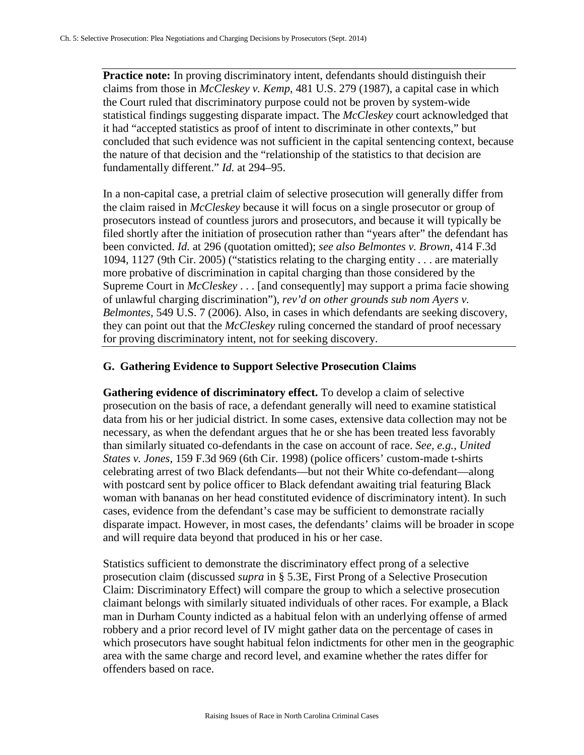**Practice note:** In proving discriminatory intent, defendants should distinguish their claims from those in *McCleskey v. Kemp*, 481 U.S. 279 (1987), a capital case in which the Court ruled that discriminatory purpose could not be proven by system-wide statistical findings suggesting disparate impact. The *McCleskey* court acknowledged that it had "accepted statistics as proof of intent to discriminate in other contexts," but concluded that such evidence was not sufficient in the capital sentencing context, because the nature of that decision and the "relationship of the statistics to that decision are fundamentally different." *Id.* at 294–95.

In a non-capital case, a pretrial claim of selective prosecution will generally differ from the claim raised in *McCleskey* because it will focus on a single prosecutor or group of prosecutors instead of countless jurors and prosecutors, and because it will typically be filed shortly after the initiation of prosecution rather than "years after" the defendant has been convicted. *Id.* at 296 (quotation omitted); *see also Belmontes v. Brown*, 414 F.3d 1094, 1127 (9th Cir. 2005) ("statistics relating to the charging entity . . . are materially more probative of discrimination in capital charging than those considered by the Supreme Court in *McCleskey* . . . [and consequently] may support a prima facie showing of unlawful charging discrimination"), *rev'd on other grounds sub nom Ayers v. Belmontes*, 549 U.S. 7 (2006). Also, in cases in which defendants are seeking discovery, they can point out that the *McCleskey* ruling concerned the standard of proof necessary for proving discriminatory intent, not for seeking discovery.

# **G. Gathering Evidence to Support Selective Prosecution Claims**

**Gathering evidence of discriminatory effect.** To develop a claim of selective prosecution on the basis of race, a defendant generally will need to examine statistical data from his or her judicial district. In some cases, extensive data collection may not be necessary, as when the defendant argues that he or she has been treated less favorably than similarly situated co-defendants in the case on account of race. *See, e.g.*, *United States v. Jones*, 159 F.3d 969 (6th Cir. 1998) (police officers' custom-made t-shirts celebrating arrest of two Black defendants—but not their White co-defendant—along with postcard sent by police officer to Black defendant awaiting trial featuring Black woman with bananas on her head constituted evidence of discriminatory intent). In such cases, evidence from the defendant's case may be sufficient to demonstrate racially disparate impact. However, in most cases, the defendants' claims will be broader in scope and will require data beyond that produced in his or her case.

Statistics sufficient to demonstrate the discriminatory effect prong of a selective prosecution claim (discussed *supra* in § 5.3E, First Prong of a Selective Prosecution Claim: Discriminatory Effect) will compare the group to which a selective prosecution claimant belongs with similarly situated individuals of other races. For example, a Black man in Durham County indicted as a habitual felon with an underlying offense of armed robbery and a prior record level of IV might gather data on the percentage of cases in which prosecutors have sought habitual felon indictments for other men in the geographic area with the same charge and record level, and examine whether the rates differ for offenders based on race.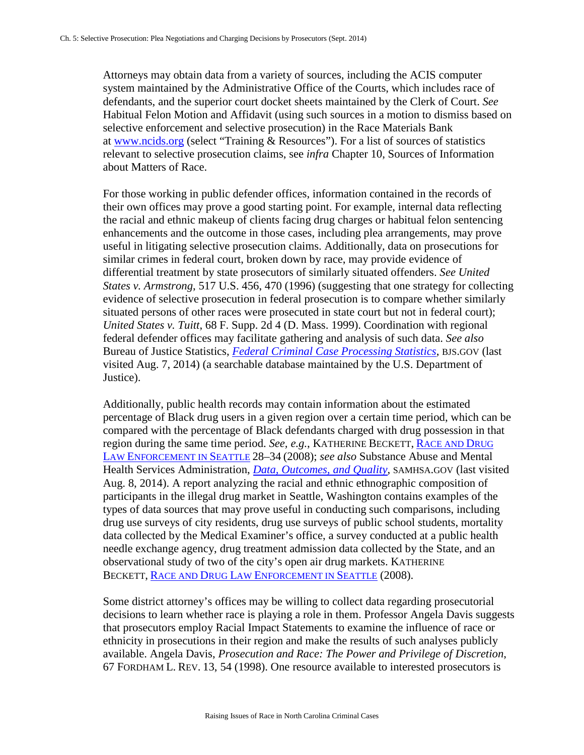Attorneys may obtain data from a variety of sources, including the ACIS computer system maintained by the Administrative Office of the Courts, which includes race of defendants, and the superior court docket sheets maintained by the Clerk of Court. *See* Habitual Felon Motion and Affidavit (using such sources in a motion to dismiss based on selective enforcement and selective prosecution) in the Race Materials Bank at [www.ncids.org](http://www.ncids.org/) (select "Training & Resources"). For a list of sources of statistics relevant to selective prosecution claims, see *infra* Chapter 10, Sources of Information about Matters of Race.

For those working in public defender offices, information contained in the records of their own offices may prove a good starting point. For example, internal data reflecting the racial and ethnic makeup of clients facing drug charges or habitual felon sentencing enhancements and the outcome in those cases, including plea arrangements, may prove useful in litigating selective prosecution claims. Additionally, data on prosecutions for similar crimes in federal court, broken down by race, may provide evidence of differential treatment by state prosecutors of similarly situated offenders. *See United States v. Armstrong*, 517 U.S. 456, 470 (1996) (suggesting that one strategy for collecting evidence of selective prosecution in federal prosecution is to compare whether similarly situated persons of other races were prosecuted in state court but not in federal court); *United States v. Tuitt*, 68 F. Supp. 2d 4 (D. Mass. 1999). Coordination with regional federal defender offices may facilitate gathering and analysis of such data. *See also* Bureau of Justice Statistics, *[Federal Criminal Case Processing Statistics](http://www.bjs.gov/fjsrc/)*, BJS.GOV (last visited Aug. 7, 2014) (a searchable database maintained by the U.S. Department of Justice).

Additionally, public health records may contain information about the estimated percentage of Black drug users in a given region over a certain time period, which can be compared with the percentage of Black defendants charged with drug possession in that region during the same time period. *See, e.g.*, KATHERINE BECKETT, [RACE AND DRUG](https://www.aclu.org/files/assets/race20and20drug20law20enforcement20in20seattle_20081.pdf)  [LAW ENFORCEMENT IN SEATTLE](https://www.aclu.org/files/assets/race20and20drug20law20enforcement20in20seattle_20081.pdf) 28–34 (2008); *see also* Substance Abuse and Mental Health Services Administration, *[Data, Outcomes, and Quality](http://www.samhsa.gov/data/)*, SAMHSA.GOV (last visited Aug. 8, 2014). A report analyzing the racial and ethnic ethnographic composition of participants in the illegal drug market in Seattle, Washington contains examples of the types of data sources that may prove useful in conducting such comparisons, including drug use surveys of city residents, drug use surveys of public school students, mortality data collected by the Medical Examiner's office, a survey conducted at a public health needle exchange agency, drug treatment admission data collected by the State, and an observational study of two of the city's open air drug markets. KATHERINE BECKETT, [RACE AND DRUG LAW ENFORCEMENT IN SEATTLE](http://faculty.washington.edu/kbeckett/Race%20and%20Drug%20Law%20Enforcement%20in%20Seattle_2008.pdf) (2008).

Some district attorney's offices may be willing to collect data regarding prosecutorial decisions to learn whether race is playing a role in them. Professor Angela Davis suggests that prosecutors employ Racial Impact Statements to examine the influence of race or ethnicity in prosecutions in their region and make the results of such analyses publicly available. Angela Davis, *Prosecution and Race: The Power and Privilege of Discretion*, 67 FORDHAM L. REV. 13, 54 (1998). One resource available to interested prosecutors is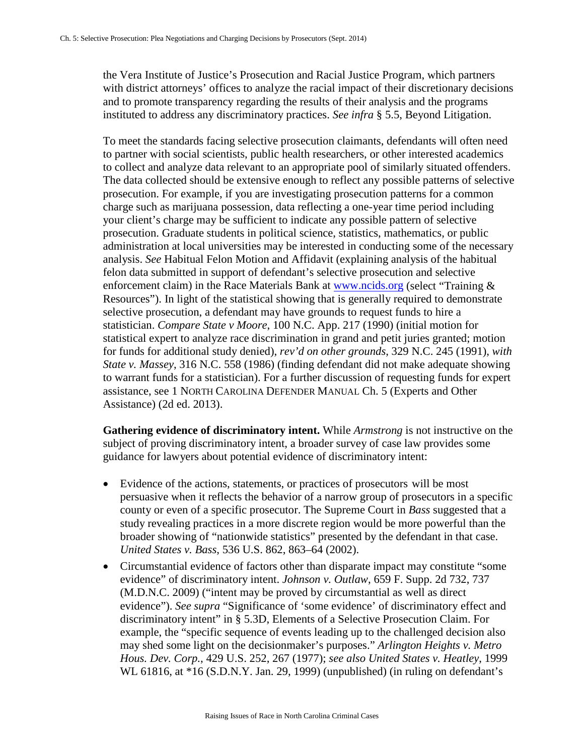the Vera Institute of Justice's Prosecution and Racial Justice Program, which partners with district attorneys' offices to analyze the racial impact of their discretionary decisions and to promote transparency regarding the results of their analysis and the programs instituted to address any discriminatory practices. *See infra* § 5.5, Beyond Litigation.

To meet the standards facing selective prosecution claimants, defendants will often need to partner with social scientists, public health researchers, or other interested academics to collect and analyze data relevant to an appropriate pool of similarly situated offenders. The data collected should be extensive enough to reflect any possible patterns of selective prosecution. For example, if you are investigating prosecution patterns for a common charge such as marijuana possession, data reflecting a one-year time period including your client's charge may be sufficient to indicate any possible pattern of selective prosecution. Graduate students in political science, statistics, mathematics, or public administration at local universities may be interested in conducting some of the necessary analysis. *See* Habitual Felon Motion and Affidavit (explaining analysis of the habitual felon data submitted in support of defendant's selective prosecution and selective enforcement claim) in the Race Materials Bank at [www.ncids.org](http://www.ncids.org/) (select "Training & Resources"). In light of the statistical showing that is generally required to demonstrate selective prosecution, a defendant may have grounds to request funds to hire a statistician. *Compare State v Moore*, 100 N.C. App. 217 (1990) (initial motion for statistical expert to analyze race discrimination in grand and petit juries granted; motion for funds for additional study denied), *rev'd on other grounds*, 329 N.C. 245 (1991), *with State v. Massey*, 316 N.C. 558 (1986) (finding defendant did not make adequate showing to warrant funds for a statistician). For a further discussion of requesting funds for expert assistance, see 1 NORTH CAROLINA DEFENDER MANUAL Ch. 5 (Experts and Other Assistance) (2d ed. 2013).

**Gathering evidence of discriminatory intent.** While *Armstrong* is not instructive on the subject of proving discriminatory intent, a broader survey of case law provides some guidance for lawyers about potential evidence of discriminatory intent:

- Evidence of the actions, statements, or practices of prosecutors will be most persuasive when it reflects the behavior of a narrow group of prosecutors in a specific county or even of a specific prosecutor. The Supreme Court in *Bass* suggested that a study revealing practices in a more discrete region would be more powerful than the broader showing of "nationwide statistics" presented by the defendant in that case. *United States v. Bass*, 536 U.S. 862, 863–64 (2002).
- Circumstantial evidence of factors other than disparate impact may constitute "some evidence" of discriminatory intent. *Johnson v. Outlaw*, 659 F. Supp. 2d 732, 737 (M.D.N.C. 2009) ("intent may be proved by circumstantial as well as direct evidence"). *See supra* "Significance of 'some evidence' of discriminatory effect and discriminatory intent" in § 5.3D, Elements of a Selective Prosecution Claim. For example, the "specific sequence of events leading up to the challenged decision also may shed some light on the decisionmaker's purposes." *Arlington Heights v. Metro Hous. Dev. Corp.*, 429 U.S. 252, 267 (1977); *see also United States v. Heatley*, 1999 WL 61816, at \*16 (S.D.N.Y. Jan. 29, 1999) (unpublished) (in ruling on defendant's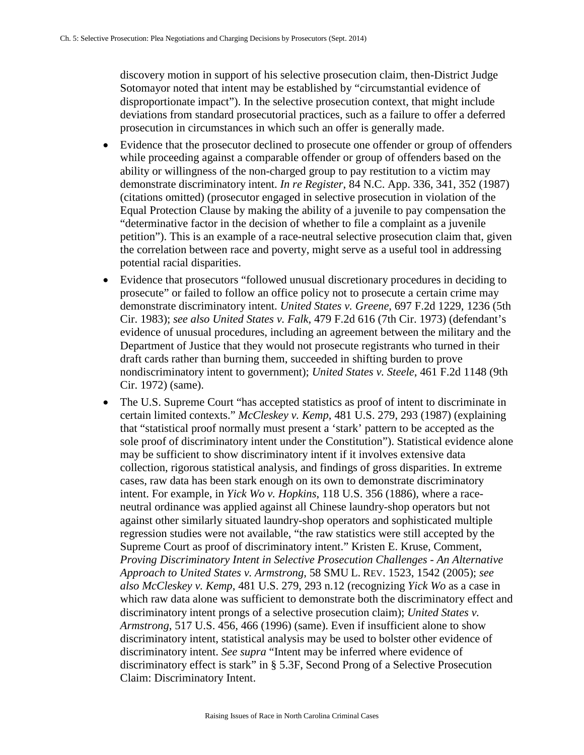discovery motion in support of his selective prosecution claim, then-District Judge Sotomayor noted that intent may be established by "circumstantial evidence of disproportionate impact"). In the selective prosecution context, that might include deviations from standard prosecutorial practices, such as a failure to offer a deferred prosecution in circumstances in which such an offer is generally made.

- Evidence that the prosecutor declined to prosecute one offender or group of offenders while proceeding against a comparable offender or group of offenders based on the ability or willingness of the non-charged group to pay restitution to a victim may demonstrate discriminatory intent. *In re Register*, 84 N.C. App. 336, 341, 352 (1987) (citations omitted) (prosecutor engaged in selective prosecution in violation of the Equal Protection Clause by making the ability of a juvenile to pay compensation the "determinative factor in the decision of whether to file a complaint as a juvenile petition"). This is an example of a race-neutral selective prosecution claim that, given the correlation between race and poverty, might serve as a useful tool in addressing potential racial disparities.
- Evidence that prosecutors "followed unusual discretionary procedures in deciding to prosecute" or failed to follow an office policy not to prosecute a certain crime may demonstrate discriminatory intent. *United States v. Greene*, 697 F.2d 1229, 1236 (5th Cir. 1983); *see also United States v. Falk*, 479 F.2d 616 (7th Cir. 1973) (defendant's evidence of unusual procedures, including an agreement between the military and the Department of Justice that they would not prosecute registrants who turned in their draft cards rather than burning them, succeeded in shifting burden to prove nondiscriminatory intent to government); *United States v. Steele*, 461 F.2d 1148 (9th Cir. 1972) (same).
- The U.S. Supreme Court "has accepted statistics as proof of intent to discriminate in certain limited contexts." *McCleskey v. Kemp*, 481 U.S. 279, 293 (1987) (explaining that "statistical proof normally must present a 'stark' pattern to be accepted as the sole proof of discriminatory intent under the Constitution"). Statistical evidence alone may be sufficient to show discriminatory intent if it involves extensive data collection, rigorous statistical analysis, and findings of gross disparities. In extreme cases, raw data has been stark enough on its own to demonstrate discriminatory intent. For example, in *Yick Wo v. Hopkins*, 118 U.S. 356 (1886), where a raceneutral ordinance was applied against all Chinese laundry-shop operators but not against other similarly situated laundry-shop operators and sophisticated multiple regression studies were not available, "the raw statistics were still accepted by the Supreme Court as proof of discriminatory intent." Kristen E. Kruse, Comment, *Proving Discriminatory Intent in Selective Prosecution Challenges - An Alternative Approach to United States v. Armstrong*, 58 SMU L. REV. 1523, 1542 (2005); *see also McCleskey v. Kemp*, 481 U.S. 279, 293 n.12 (recognizing *Yick Wo* as a case in which raw data alone was sufficient to demonstrate both the discriminatory effect and discriminatory intent prongs of a selective prosecution claim); *United States v. Armstrong*, 517 U.S. 456, 466 (1996) (same). Even if insufficient alone to show discriminatory intent, statistical analysis may be used to bolster other evidence of discriminatory intent. *See supra* "Intent may be inferred where evidence of discriminatory effect is stark" in § 5.3F, Second Prong of a Selective Prosecution Claim: Discriminatory Intent.